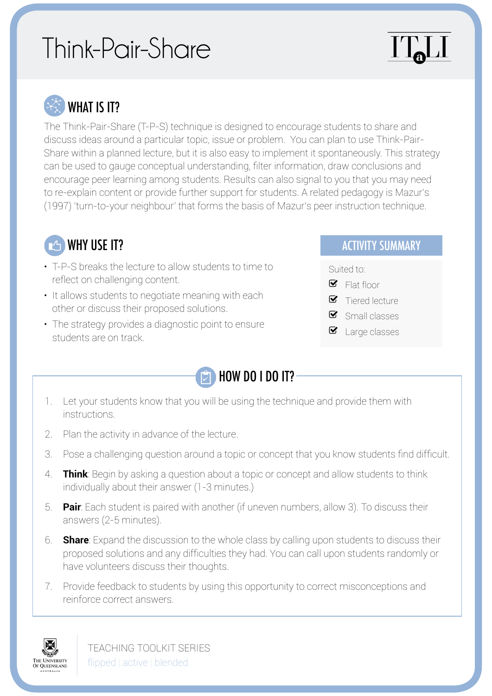# Think-Pair-Share

# ITJ



WHAT IS IT?

The Think-Pair-Share (T-P-S) technique is designed to encourage students to share and discuss ideas around a particular topic, issue or problem. You can plan to use Think-Pair-Share within a planned lecture, but it is also easy to implement it spontaneously. This strategy can be used to gauge conceptual understanding, filter information, draw conclusions and encourage peer learning among students. Results can also signal to you that you may need to re-explain content or provide further support for students. A related pedagogy is Mazur's (1997) 'turn-to-your neighbour' that forms the basis of Mazur's peer instruction technique.



- T-P-S breaks the lecture to allow students to time to reflect on challenging content.
- It allows students to negotiate meaning with each other or discuss their proposed solutions.
- The strategy provides a diagnostic point to ensure students are on track.



- 1. Let your students know that you will be using the technique and provide them with instructions.
- 2. Plan the activity in advance of the lecture.
- 3. Pose a challenging question around a topic or concept that you know students find difficult.
- 4. **Think**: Begin by asking a question about a topic or concept and allow students to think individually about their answer (1-3 minutes.)
- 5. **Pair**: Each student is paired with another (if uneven numbers, allow 3). To discuss their answers (2-5 minutes).
- 6. **Share**: Expand the discussion to the whole class by calling upon students to discuss their proposed solutions and any difficulties they had. You can call upon students randomly or have volunteers discuss their thoughts.
- 7. Provide feedback to students by using this opportunity to correct misconceptions and reinforce correct answers.



TEACHING TOOLKIT SERIES flipped | active | blended

#### **EXAMPLE 19 ACTIVITY SUMMARY**

Suited to:

- $\blacksquare$  Flat floor
- $\bullet$  Tiered lecture
- $\blacksquare$  Small classes
- $\blacksquare$  Large classes